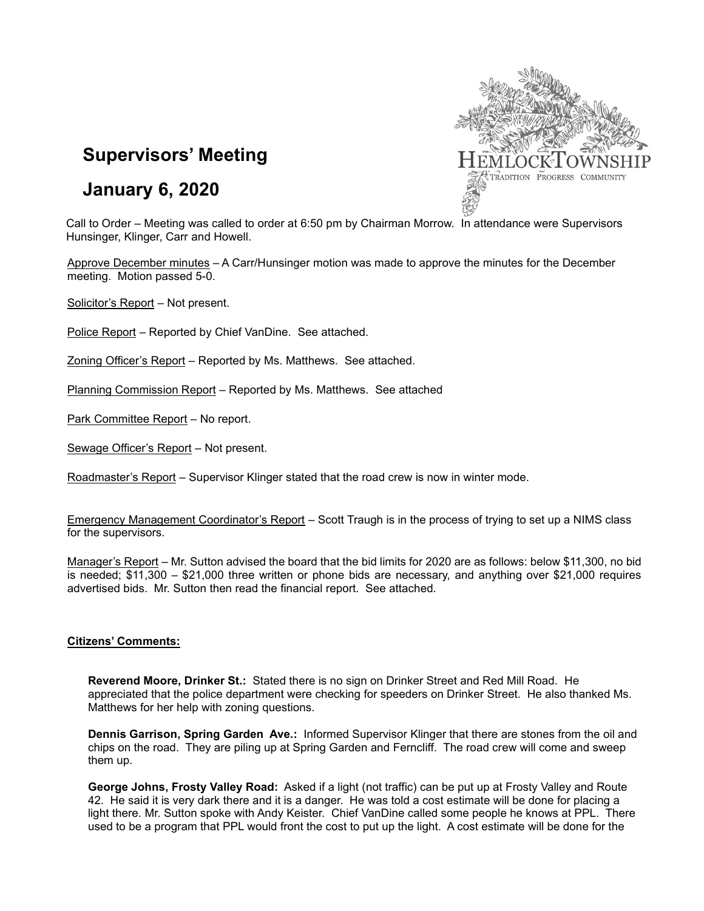

# **Supervisors' Meeting**

# **January 6, 2020**

Call to Order – Meeting was called to order at 6:50 pm by Chairman Morrow. In attendance were Supervisors Hunsinger, Klinger, Carr and Howell.

Approve December minutes – A Carr/Hunsinger motion was made to approve the minutes for the December meeting. Motion passed 5-0.

Solicitor's Report – Not present.

Police Report – Reported by Chief VanDine. See attached.

Zoning Officer's Report – Reported by Ms. Matthews. See attached.

Planning Commission Report – Reported by Ms. Matthews. See attached

Park Committee Report – No report.

Sewage Officer's Report – Not present.

Roadmaster's Report – Supervisor Klinger stated that the road crew is now in winter mode.

Emergency Management Coordinator's Report – Scott Traugh is in the process of trying to set up a NIMS class for the supervisors.

Manager's Report – Mr. Sutton advised the board that the bid limits for 2020 are as follows: below \$11,300, no bid is needed; \$11,300 – \$21,000 three written or phone bids are necessary, and anything over \$21,000 requires advertised bids. Mr. Sutton then read the financial report. See attached.

## **Citizens' Comments:**

**Reverend Moore, Drinker St.:** Stated there is no sign on Drinker Street and Red Mill Road. He appreciated that the police department were checking for speeders on Drinker Street. He also thanked Ms. Matthews for her help with zoning questions.

**Dennis Garrison, Spring Garden Ave.:** Informed Supervisor Klinger that there are stones from the oil and chips on the road. They are piling up at Spring Garden and Ferncliff. The road crew will come and sweep them up.

**George Johns, Frosty Valley Road:** Asked if a light (not traffic) can be put up at Frosty Valley and Route 42. He said it is very dark there and it is a danger. He was told a cost estimate will be done for placing a light there. Mr. Sutton spoke with Andy Keister. Chief VanDine called some people he knows at PPL. There used to be a program that PPL would front the cost to put up the light. A cost estimate will be done for the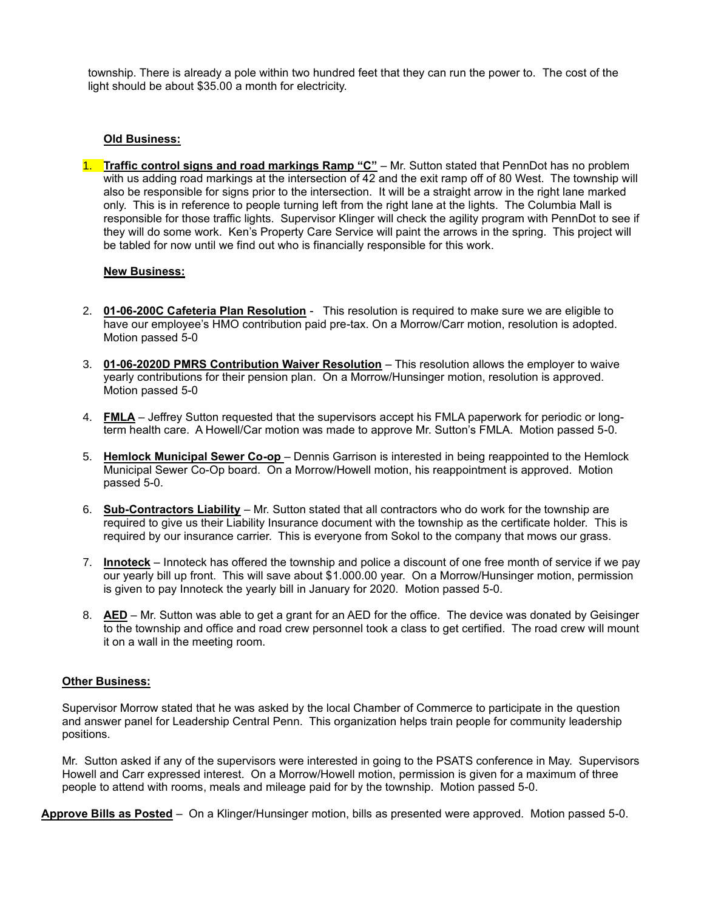township. There is already a pole within two hundred feet that they can run the power to. The cost of the light should be about \$35.00 a month for electricity.

# **Old Business:**

1. **Traffic control signs and road markings Ramp "C"** – Mr. Sutton stated that PennDot has no problem with us adding road markings at the intersection of 42 and the exit ramp off of 80 West. The township will also be responsible for signs prior to the intersection. It will be a straight arrow in the right lane marked only. This is in reference to people turning left from the right lane at the lights. The Columbia Mall is responsible for those traffic lights. Supervisor Klinger will check the agility program with PennDot to see if they will do some work. Ken's Property Care Service will paint the arrows in the spring. This project will be tabled for now until we find out who is financially responsible for this work.

## **New Business:**

- 2. **01-06-200C Cafeteria Plan Resolution** This resolution is required to make sure we are eligible to have our employee's HMO contribution paid pre-tax. On a Morrow/Carr motion, resolution is adopted. Motion passed 5-0
- 3. **01-06-2020D PMRS Contribution Waiver Resolution** This resolution allows the employer to waive yearly contributions for their pension plan. On a Morrow/Hunsinger motion, resolution is approved. Motion passed 5-0
- 4. **FMLA** Jeffrey Sutton requested that the supervisors accept his FMLA paperwork for periodic or longterm health care. A Howell/Car motion was made to approve Mr. Sutton's FMLA. Motion passed 5-0.
- 5. **Hemlock Municipal Sewer Co-op** Dennis Garrison is interested in being reappointed to the Hemlock Municipal Sewer Co-Op board. On a Morrow/Howell motion, his reappointment is approved. Motion passed 5-0.
- 6. **Sub-Contractors Liability** Mr. Sutton stated that all contractors who do work for the township are required to give us their Liability Insurance document with the township as the certificate holder. This is required by our insurance carrier. This is everyone from Sokol to the company that mows our grass.
- 7. **Innoteck** Innoteck has offered the township and police a discount of one free month of service if we pay our yearly bill up front. This will save about \$1.000.00 year. On a Morrow/Hunsinger motion, permission is given to pay Innoteck the yearly bill in January for 2020. Motion passed 5-0.
- 8. **AED** Mr. Sutton was able to get a grant for an AED for the office. The device was donated by Geisinger to the township and office and road crew personnel took a class to get certified. The road crew will mount it on a wall in the meeting room.

## **Other Business:**

Supervisor Morrow stated that he was asked by the local Chamber of Commerce to participate in the question and answer panel for Leadership Central Penn. This organization helps train people for community leadership positions.

Mr. Sutton asked if any of the supervisors were interested in going to the PSATS conference in May. Supervisors Howell and Carr expressed interest. On a Morrow/Howell motion, permission is given for a maximum of three people to attend with rooms, meals and mileage paid for by the township. Motion passed 5-0.

**Approve Bills as Posted** – On a Klinger/Hunsinger motion, bills as presented were approved. Motion passed 5-0.